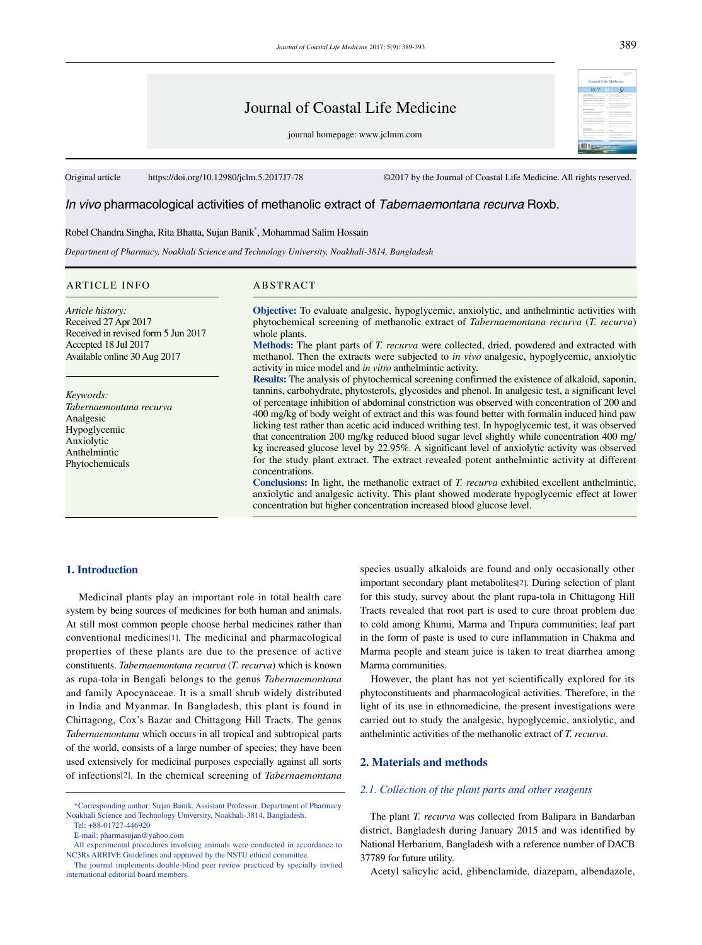# Journal of Coastal Life Medicine

journal homepage: www.jclmm.com

Original article https://doi.org/10.12980/jclm.5.2017J7-78 ©2017 by the Journal of Coastal Life Medicine. All rights reserved.

# *In vivo* pharmacological activities of methanolic extract of *Tabernaemontana recurva* Roxb.

# Robel Chandra Singha, Rita Bhatta, Sujan Banik\* , Mohammad Salim Hossain

*Department of Pharmacy, Noakhali Science and Technology University, Noakhali-3814, Bangladesh*

#### ARTICLE INFO ABSTRACT

*Article history:* Received 27 Apr 2017 Received in revised form 5 Jun 2017 Accepted 18 Jul 2017 Available online 30 Aug 2017

*Keywords: Tabernaemontana recurva* Analgesic Hypoglycemic Anxiolytic Anthelmintic Phytochemicals

**Objective:** To evaluate analgesic, hypoglycemic, anxiolytic, and anthelmintic activities with phytochemical screening of methanolic extract of *Tabernaemontana recurva* (*T. recurva*) whole plants.

**Methods:** The plant parts of *T. recurva* were collected, dried, powdered and extracted with methanol. Then the extracts were subjected to *in vivo* analgesic, hypoglycemic, anxiolytic activity in mice model and *in vitro* anthelmintic activity.

**Results:** The analysis of phytochemical screening confirmed the existence of alkaloid, saponin, tannins, carbohydrate, phytosterols, glycosides and phenol. In analgesic test, a significant level of percentage inhibition of abdominal constriction was observed with concentration of 200 and 400 mg/kg of body weight of extract and this was found better with formalin induced hind paw licking test rather than acetic acid induced writhing test. In hypoglycemic test, it was observed that concentration 200 mg/kg reduced blood sugar level slightly while concentration 400 mg/ kg increased glucose level by 22.95%. A significant level of anxiolytic activity was observed for the study plant extract. The extract revealed potent anthelmintic activity at different concentrations.

**Conclusions:** In light, the methanolic extract of *T. recurva* exhibited excellent anthelmintic, anxiolytic and analgesic activity. This plant showed moderate hypoglycemic effect at lower concentration but higher concentration increased blood glucose level.

#### **1. Introduction**

 Medicinal plants play an important role in total health care system by being sources of medicines for both human and animals. At still most common people choose herbal medicines rather than conventional medicines[1]. The medicinal and pharmacological properties of these plants are due to the presence of active constituents. *Tabernaemontana recurva* (*T. recurva*) which is known as rupa-tola in Bengali belongs to the genus *Tabernaemontana* and family Apocynaceae. It is a small shrub widely distributed in India and Myanmar. In Bangladesh, this plant is found in Chittagong, Cox's Bazar and Chittagong Hill Tracts. The genus *Tabernaemontana* which occurs in all tropical and subtropical parts of the world, consists of a large number of species; they have been used extensively for medicinal purposes especially against all sorts of infections[2]. In the chemical screening of *Tabernaemontana*

species usually alkaloids are found and only occasionally other important secondary plant metabolites[2]. During selection of plant for this study, survey about the plant rupa-tola in Chittagong Hill Tracts revealed that root part is used to cure throat problem due to cold among Khumi, Marma and Tripura communities; leaf part in the form of paste is used to cure inflammation in Chakma and Marma people and steam juice is taken to treat diarrhea among Marma communities.

 However, the plant has not yet scientifically explored for its phytoconstituents and pharmacological activities. Therefore, in the light of its use in ethnomedicine, the present investigations were carried out to study the analgesic, hypoglycemic, anxiolytic, and anthelmintic activities of the methanolic extract of *T. recurva*.

# **2. Materials and methods**

#### *2.1. Collection of the plant parts and other reagents*

 The plant *T. recurva* was collected from Balipara in Bandarban district, Bangladesh during January 2015 and was identified by National Herbarium, Bangladesh with a reference number of DACB 37789 for future utility.

Acetyl salicylic acid, glibenclamide, diazepam, albendazole,

 <sup>\*</sup>Corresponding author: Sujan Banik, Assistant Professor, Department of Pharmacy Noakhali Science and Technology University, Noakhali-3814, Bangladesh.

Tel: +88-01727-446920

E-mail: pharmasujan@yahoo.com

All experimental procedures involving animals were conducted in accordance to NC3Rs ARRIVE Guidelines and approved by the NSTU ethical committee.

The journal implements double-blind peer review practiced by specially invited international editorial board members.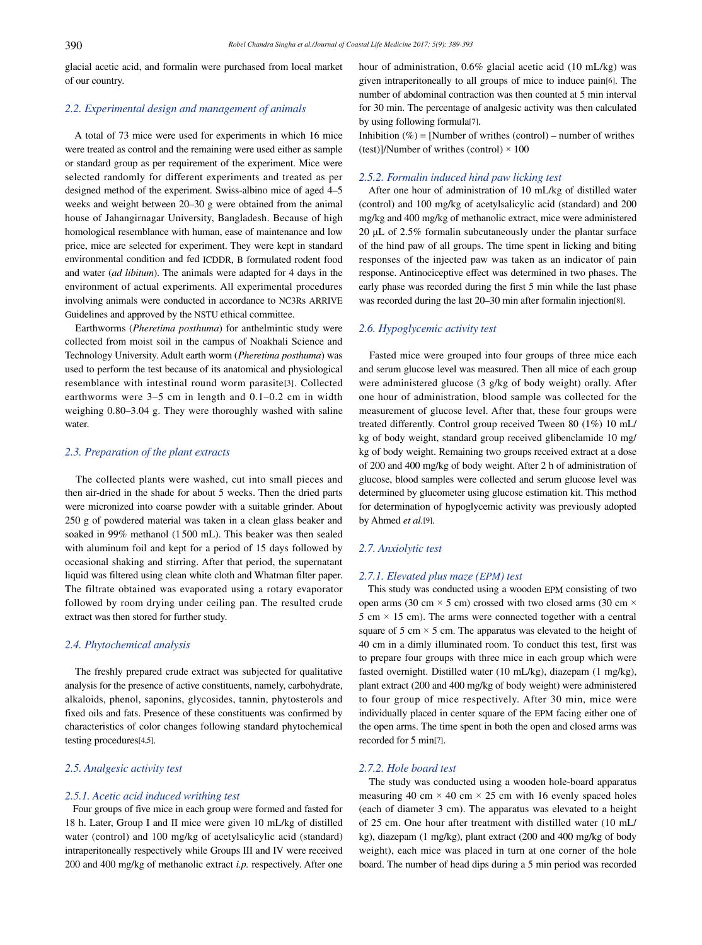glacial acetic acid, and formalin were purchased from local market of our country.

# *2.2. Experimental design and management of animals*

 A total of 73 mice were used for experiments in which 16 mice were treated as control and the remaining were used either as sample or standard group as per requirement of the experiment. Mice were selected randomly for different experiments and treated as per designed method of the experiment. Swiss-albino mice of aged 4–5 weeks and weight between 20–30 g were obtained from the animal house of Jahangirnagar University, Bangladesh. Because of high homological resemblance with human, ease of maintenance and low price, mice are selected for experiment. They were kept in standard environmental condition and fed ICDDR, B formulated rodent food and water (*ad libitum*). The animals were adapted for 4 days in the environment of actual experiments. All experimental procedures involving animals were conducted in accordance to NC3Rs ARRIVE Guidelines and approved by the NSTU ethical committee.

 Earthworms (*Pheretima posthuma*) for anthelmintic study were collected from moist soil in the campus of Noakhali Science and Technology University. Adult earth worm (*Pheretima posthuma*) was used to perform the test because of its anatomical and physiological resemblance with intestinal round worm parasite[3]. Collected earthworms were 3–5 cm in length and 0.1–0.2 cm in width weighing 0.80–3.04 g. They were thoroughly washed with saline water.

#### *2.3. Preparation of the plant extracts*

 The collected plants were washed, cut into small pieces and then air-dried in the shade for about 5 weeks. Then the dried parts were micronized into coarse powder with a suitable grinder. About 250 g of powdered material was taken in a clean glass beaker and soaked in 99% methanol (1500 mL). This beaker was then sealed with aluminum foil and kept for a period of 15 days followed by occasional shaking and stirring. After that period, the supernatant liquid was filtered using clean white cloth and Whatman filter paper. The filtrate obtained was evaporated using a rotary evaporator followed by room drying under ceiling pan. The resulted crude extract was then stored for further study.

#### *2.4. Phytochemical analysis*

 The freshly prepared crude extract was subjected for qualitative analysis for the presence of active constituents, namely, carbohydrate, alkaloids, phenol, saponins, glycosides, tannin, phytosterols and fixed oils and fats. Presence of these constituents was confirmed by characteristics of color changes following standard phytochemical testing procedures[4,5].

# *2.5. Analgesic activity test*

#### *2.5.1. Acetic acid induced writhing test*

 Four groups of five mice in each group were formed and fasted for 18 h. Later, Group I and II mice were given 10 mL/kg of distilled water (control) and 100 mg/kg of acetylsalicylic acid (standard) intraperitoneally respectively while Groups III and IV were received 200 and 400 mg/kg of methanolic extract *i.p.* respectively. After one hour of administration, 0.6% glacial acetic acid (10 mL/kg) was given intraperitoneally to all groups of mice to induce pain[6]. The number of abdominal contraction was then counted at 5 min interval for 30 min. The percentage of analgesic activity was then calculated by using following formula[7].

Inhibition  $(\%)$  = [Number of writhes (control) – number of writhes (test)]/Number of writhes (control)  $\times$  100

# *2.5.2. Formalin induced hind paw licking test*

 After one hour of administration of 10 mL/kg of distilled water (control) and 100 mg/kg of acetylsalicylic acid (standard) and 200 mg/kg and 400 mg/kg of methanolic extract, mice were administered 20 μL of 2.5% formalin subcutaneously under the plantar surface of the hind paw of all groups. The time spent in licking and biting responses of the injected paw was taken as an indicator of pain response. Antinociceptive effect was determined in two phases. The early phase was recorded during the first 5 min while the last phase was recorded during the last 20–30 min after formalin injection[8].

#### *2.6. Hypoglycemic activity test*

 Fasted mice were grouped into four groups of three mice each and serum glucose level was measured. Then all mice of each group were administered glucose (3 g/kg of body weight) orally. After one hour of administration, blood sample was collected for the measurement of glucose level. After that, these four groups were treated differently. Control group received Tween 80 (1%) 10 mL/ kg of body weight, standard group received glibenclamide 10 mg/ kg of body weight. Remaining two groups received extract at a dose of 200 and 400 mg/kg of body weight. After 2 h of administration of glucose, blood samples were collected and serum glucose level was determined by glucometer using glucose estimation kit. This method for determination of hypoglycemic activity was previously adopted by Ahmed *et al.*[9].

# *2.7. Anxiolytic test*

# *2.7.1. Elevated plus maze (EPM) test*

 This study was conducted using a wooden EPM consisting of two open arms (30 cm  $\times$  5 cm) crossed with two closed arms (30 cm  $\times$ 5 cm  $\times$  15 cm). The arms were connected together with a central square of 5 cm  $\times$  5 cm. The apparatus was elevated to the height of 40 cm in a dimly illuminated room. To conduct this test, first was to prepare four groups with three mice in each group which were fasted overnight. Distilled water (10 mL/kg), diazepam (1 mg/kg), plant extract (200 and 400 mg/kg of body weight) were administered to four group of mice respectively. After 30 min, mice were individually placed in center square of the EPM facing either one of the open arms. The time spent in both the open and closed arms was recorded for 5 min[7].

# *2.7.2. Hole board test*

 The study was conducted using a wooden hole-board apparatus measuring 40 cm  $\times$  40 cm  $\times$  25 cm with 16 evenly spaced holes (each of diameter 3 cm). The apparatus was elevated to a height of 25 cm. One hour after treatment with distilled water (10 mL/ kg), diazepam (1 mg/kg), plant extract (200 and 400 mg/kg of body weight), each mice was placed in turn at one corner of the hole board. The number of head dips during a 5 min period was recorded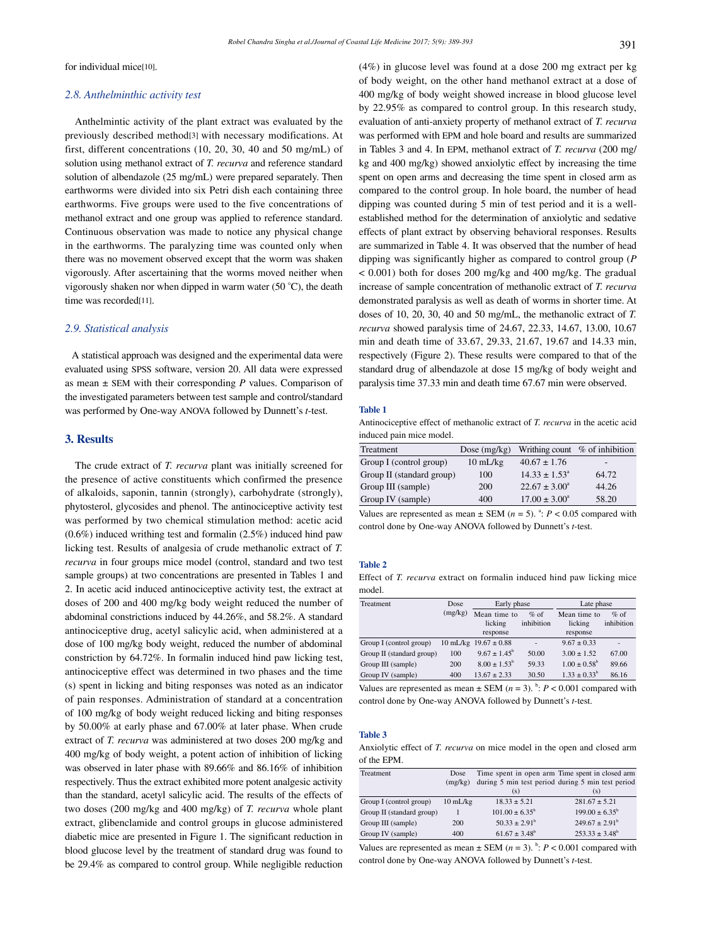for individual mice[10].

# *2.8. Anthelminthic activity test*

 Anthelmintic activity of the plant extract was evaluated by the previously described method[3] with necessary modifications. At first, different concentrations (10, 20, 30, 40 and 50 mg/mL) of solution using methanol extract of *T. recurva* and reference standard solution of albendazole (25 mg/mL) were prepared separately. Then earthworms were divided into six Petri dish each containing three earthworms. Five groups were used to the five concentrations of methanol extract and one group was applied to reference standard. Continuous observation was made to notice any physical change in the earthworms. The paralyzing time was counted only when there was no movement observed except that the worm was shaken vigorously. After ascertaining that the worms moved neither when vigorously shaken nor when dipped in warm water (50 °C), the death time was recorded[11].

#### *2.9. Statistical analysis*

 A statistical approach was designed and the experimental data were evaluated using SPSS software, version 20. All data were expressed as mean ± SEM with their corresponding *P* values. Comparison of the investigated parameters between test sample and control/standard was performed by One-way ANOVA followed by Dunnett's *t*-test.

# **3. Results**

 The crude extract of *T. recurva* plant was initially screened for the presence of active constituents which confirmed the presence of alkaloids, saponin, tannin (strongly), carbohydrate (strongly), phytosterol, glycosides and phenol. The antinociceptive activity test was performed by two chemical stimulation method: acetic acid (0.6%) induced writhing test and formalin (2.5%) induced hind paw licking test. Results of analgesia of crude methanolic extract of *T. recurva* in four groups mice model (control, standard and two test sample groups) at two concentrations are presented in Tables 1 and 2. In acetic acid induced antinociceptive activity test, the extract at doses of 200 and 400 mg/kg body weight reduced the number of abdominal constrictions induced by 44.26%, and 58.2%. A standard antinociceptive drug, acetyl salicylic acid, when administered at a dose of 100 mg/kg body weight, reduced the number of abdominal constriction by 64.72%. In formalin induced hind paw licking test, antinociceptive effect was determined in two phases and the time (s) spent in licking and biting responses was noted as an indicator of pain responses. Administration of standard at a concentration of 100 mg/kg of body weight reduced licking and biting responses by 50.00% at early phase and 67.00% at later phase. When crude extract of *T. recurva* was administered at two doses 200 mg/kg and 400 mg/kg of body weight, a potent action of inhibition of licking was observed in later phase with 89.66% and 86.16% of inhibition respectively. Thus the extract exhibited more potent analgesic activity than the standard, acetyl salicylic acid. The results of the effects of two doses (200 mg/kg and 400 mg/kg) of *T. recurva* whole plant extract, glibenclamide and control groups in glucose administered diabetic mice are presented in Figure 1. The significant reduction in blood glucose level by the treatment of standard drug was found to be 29.4% as compared to control group. While negligible reduction (4%) in glucose level was found at a dose 200 mg extract per kg of body weight, on the other hand methanol extract at a dose of 400 mg/kg of body weight showed increase in blood glucose level by 22.95% as compared to control group. In this research study, evaluation of anti-anxiety property of methanol extract of *T. recurva* was performed with EPM and hole board and results are summarized in Tables 3 and 4. In EPM, methanol extract of *T. recurva* (200 mg/ kg and 400 mg/kg) showed anxiolytic effect by increasing the time spent on open arms and decreasing the time spent in closed arm as compared to the control group. In hole board, the number of head dipping was counted during 5 min of test period and it is a wellestablished method for the determination of anxiolytic and sedative effects of plant extract by observing behavioral responses. Results are summarized in Table 4. It was observed that the number of head dipping was significantly higher as compared to control group (*P* < 0.001) both for doses 200 mg/kg and 400 mg/kg. The gradual increase of sample concentration of methanolic extract of *T. recurva* demonstrated paralysis as well as death of worms in shorter time. At doses of 10, 20, 30, 40 and 50 mg/mL, the methanolic extract of *T. recurva* showed paralysis time of 24.67, 22.33, 14.67, 13.00, 10.67 min and death time of 33.67, 29.33, 21.67, 19.67 and 14.33 min, respectively (Figure 2). These results were compared to that of the standard drug of albendazole at dose 15 mg/kg of body weight and paralysis time 37.33 min and death time 67.67 min were observed.

#### **Table 1**

Antinociceptive effect of methanolic extract of *T. recurva* in the acetic acid induced pain mice model.

| Treatment                 | Dose $(mg/kg)$     |                          | Writhing count $%$ of inhibition |
|---------------------------|--------------------|--------------------------|----------------------------------|
| Group I (control group)   | $10 \text{ mL/kg}$ | $40.67 \pm 1.76$         | $\overline{\phantom{0}}$         |
| Group II (standard group) | 100                | $14.33 \pm 1.53^{\circ}$ | 64 72                            |
| Group III (sample)        | 200                | $22.67 \pm 3.00^{\circ}$ | 44.26                            |
| Group IV (sample)         | 400                | $17.00 \pm 3.00^{\circ}$ | 58.20                            |

Values are represented as mean  $\pm$  SEM ( $n = 5$ ). <sup>a</sup>:  $P < 0.05$  compared with control done by One-way ANOVA followed by Dunnett's *t*-test.

#### **Table 2**

Effect of *T. recurva* extract on formalin induced hind paw licking mice model.

| Treatment                 | Dose    | Early phase               |            | Late phase              |            |
|---------------------------|---------|---------------------------|------------|-------------------------|------------|
|                           | (mg/kg) | Mean time to              | $%$ of     | Mean time to            | $%$ of     |
|                           |         | licking                   | inhibition | licking                 | inhibition |
|                           |         | response                  |            | response                |            |
| Group I (control group)   |         | 10 mL/kg $19.67 \pm 0.88$ |            | $9.67 \pm 0.33$         | ۰          |
| Group II (standard group) | 100     | $9.67 \pm 1.45^{\circ}$   | 50.00      | $3.00 \pm 1.52$         | 67.00      |
| Group III (sample)        | 200     | $8.00 \pm 1.53^{\circ}$   | 59.33      | $1.00 \pm 0.58^{\circ}$ | 89.66      |
| Group IV (sample)         | 400     | $13.67 \pm 2.33$          | 30.50      | $1.33 \pm 0.33^b$       | 86.16      |

Values are represented as mean  $\pm$  SEM ( $n = 3$ ). <sup>b</sup>:  $P < 0.001$  compared with control done by One-way ANOVA followed by Dunnett's *t*-test.

#### **Table 3**

Anxiolytic effect of *T. recurva* on mice model in the open and closed arm of the EPM.

| Treatment                 | Dose               | Time spent in open arm Time spent in closed arm   |                           |
|---------------------------|--------------------|---------------------------------------------------|---------------------------|
|                           | (mg/kg)            | during 5 min test period during 5 min test period |                           |
|                           |                    | (s)                                               | (s)                       |
| Group I (control group)   | $10 \text{ mL/kg}$ | $18.33 \pm 5.21$                                  | $281.67 \pm 5.21$         |
| Group II (standard group) |                    | $101.00 \pm 6.35^{\circ}$                         | $199.00 \pm 6.35^{\circ}$ |
| Group III (sample)        | 200                | $50.33 \pm 2.91^b$                                | $249.67 \pm 2.91^{\circ}$ |
| Group IV (sample)         | 400                | $61.67 \pm 3.48^b$                                | $253.33 \pm 3.48^b$       |

Values are represented as mean  $\pm$  SEM ( $n = 3$ ).  $\frac{b}{c}$ :  $P < 0.001$  compared with control done by One-way ANOVA followed by Dunnett's *t*-test.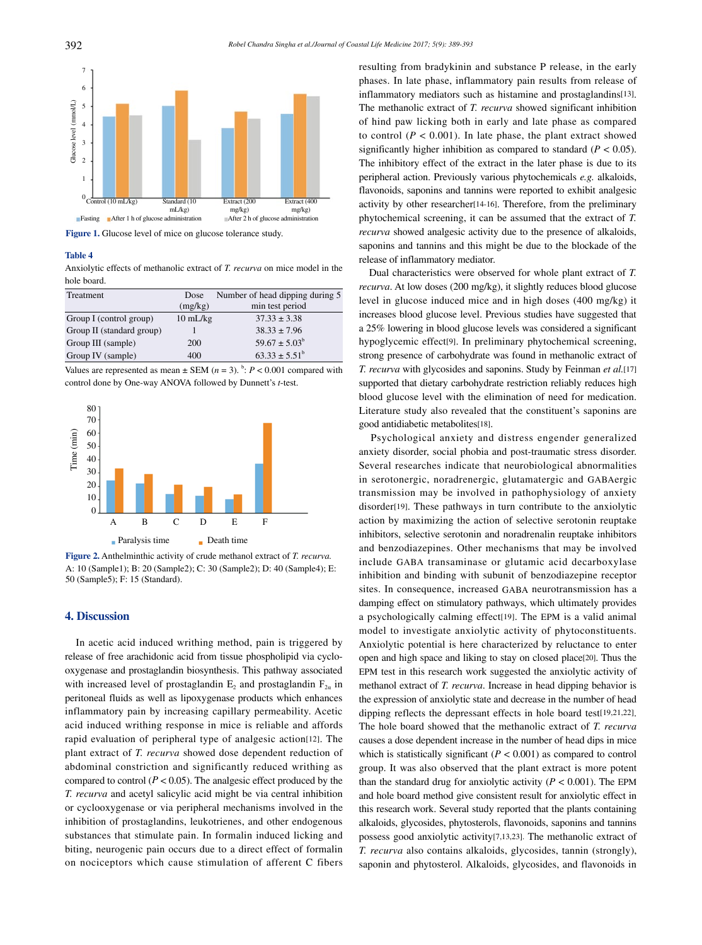

Figure 1. Glucose level of mice on glucose tolerance study.

# **Table 4**

Anxiolytic effects of methanolic extract of *T. recurva* on mice model in the hole board.

| Treatment                 | Dose               | Number of head dipping during 5 |  |
|---------------------------|--------------------|---------------------------------|--|
|                           | (mg/kg)            | min test period                 |  |
| Group I (control group)   | $10 \text{ mL/kg}$ | $37.33 \pm 3.38$                |  |
| Group II (standard group) |                    | $38.33 \pm 7.96$                |  |
| Group III (sample)        | <b>200</b>         | $59.67 \pm 5.03^b$              |  |
| Group IV (sample)         | 400                | $63.33 \pm 5.51^{\circ}$        |  |

Values are represented as mean  $\pm$  SEM ( $n = 3$ ).  $\frac{b}{c}$ :  $P < 0.001$  compared with control done by One-way ANOVA followed by Dunnett's *t*-test.



**Figure 2.** Anthelminthic activity of crude methanol extract of *T. recurva.* A: 10 (Sample1); B: 20 (Sample2); C: 30 (Sample2); D: 40 (Sample4); E: 50 (Sample5); F: 15 (Standard).

#### **4. Discussion**

 In acetic acid induced writhing method, pain is triggered by release of free arachidonic acid from tissue phospholipid via cyclooxygenase and prostaglandin biosynthesis. This pathway associated with increased level of prostaglandin  $E_2$  and prostaglandin  $F_{2\alpha}$  in peritoneal fluids as well as lipoxygenase products which enhances inflammatory pain by increasing capillary permeability. Acetic acid induced writhing response in mice is reliable and affords rapid evaluation of peripheral type of analgesic action[12]. The plant extract of *T. recurva* showed dose dependent reduction of abdominal constriction and significantly reduced writhing as compared to control ( $P < 0.05$ ). The analgesic effect produced by the *T. recurva* and acetyl salicylic acid might be via central inhibition or cyclooxygenase or via peripheral mechanisms involved in the inhibition of prostaglandins, leukotrienes, and other endogenous substances that stimulate pain. In formalin induced licking and biting, neurogenic pain occurs due to a direct effect of formalin on nociceptors which cause stimulation of afferent C fibers resulting from bradykinin and substance P release, in the early phases. In late phase, inflammatory pain results from release of inflammatory mediators such as histamine and prostaglandins[13]. The methanolic extract of *T. recurva* showed significant inhibition of hind paw licking both in early and late phase as compared to control  $(P < 0.001)$ . In late phase, the plant extract showed significantly higher inhibition as compared to standard  $(P < 0.05)$ . The inhibitory effect of the extract in the later phase is due to its peripheral action. Previously various phytochemicals *e.g.* alkaloids, flavonoids, saponins and tannins were reported to exhibit analgesic activity by other researcher[14-16]. Therefore, from the preliminary phytochemical screening, it can be assumed that the extract of *T. recurva* showed analgesic activity due to the presence of alkaloids, saponins and tannins and this might be due to the blockade of the release of inflammatory mediator.

 Dual characteristics were observed for whole plant extract of *T. recurva*. At low doses (200 mg/kg), it slightly reduces blood glucose level in glucose induced mice and in high doses (400 mg/kg) it increases blood glucose level. Previous studies have suggested that a 25% lowering in blood glucose levels was considered a significant hypoglycemic effect[9]. In preliminary phytochemical screening, strong presence of carbohydrate was found in methanolic extract of *T. recurva* with glycosides and saponins. Study by Feinman *et al.*[17] supported that dietary carbohydrate restriction reliably reduces high blood glucose level with the elimination of need for medication. Literature study also revealed that the constituent's saponins are good antidiabetic metabolites[18].

 Psychological anxiety and distress engender generalized anxiety disorder, social phobia and post-traumatic stress disorder. Several researches indicate that neurobiological abnormalities in serotonergic, noradrenergic, glutamatergic and GABAergic transmission may be involved in pathophysiology of anxiety disorder[19]. These pathways in turn contribute to the anxiolytic action by maximizing the action of selective serotonin reuptake inhibitors, selective serotonin and noradrenalin reuptake inhibitors and benzodiazepines. Other mechanisms that may be involved include GABA transaminase or glutamic acid decarboxylase inhibition and binding with subunit of benzodiazepine receptor sites. In consequence, increased GABA neurotransmission has a damping effect on stimulatory pathways, which ultimately provides a psychologically calming effect[19]. The EPM is a valid animal model to investigate anxiolytic activity of phytoconstituents. Anxiolytic potential is here characterized by reluctance to enter open and high space and liking to stay on closed place[20]. Thus the EPM test in this research work suggested the anxiolytic activity of methanol extract of *T. recurva*. Increase in head dipping behavior is the expression of anxiolytic state and decrease in the number of head dipping reflects the depressant effects in hole board test[19,21,22]. The hole board showed that the methanolic extract of *T. recurva* causes a dose dependent increase in the number of head dips in mice which is statistically significant  $(P < 0.001)$  as compared to control group. It was also observed that the plant extract is more potent than the standard drug for anxiolytic activity  $(P < 0.001)$ . The EPM and hole board method give consistent result for anxiolytic effect in this research work. Several study reported that the plants containing alkaloids, glycosides, phytosterols, flavonoids, saponins and tannins possess good anxiolytic activity[7,13,23]. The methanolic extract of *T. recurva* also contains alkaloids, glycosides, tannin (strongly), saponin and phytosterol. Alkaloids, glycosides, and flavonoids in